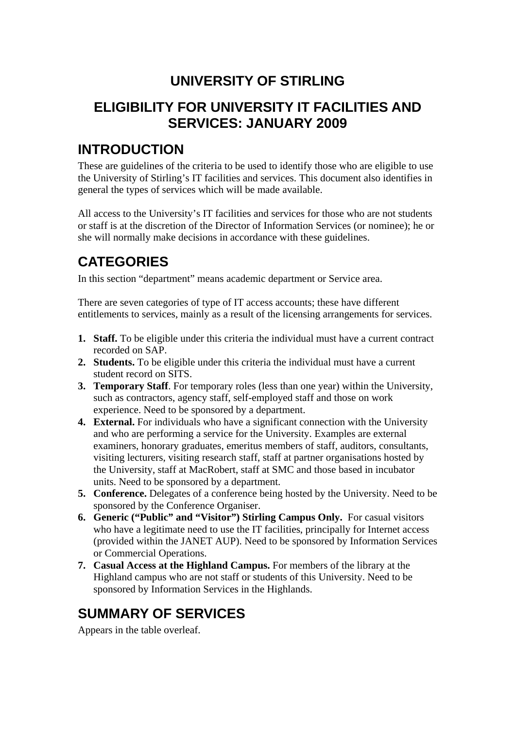## **UNIVERSITY OF STIRLING**

#### **ELIGIBILITY FOR UNIVERSITY IT FACILITIES AND SERVICES: JANUARY 2009**

#### **INTRODUCTION**

These are guidelines of the criteria to be used to identify those who are eligible to use the University of Stirling's IT facilities and services. This document also identifies in general the types of services which will be made available.

All access to the University's IT facilities and services for those who are not students or staff is at the discretion of the Director of Information Services (or nominee); he or she will normally make decisions in accordance with these guidelines.

# **CATEGORIES**

In this section "department" means academic department or Service area.

There are seven categories of type of IT access accounts; these have different entitlements to services, mainly as a result of the licensing arrangements for services.

- **1. Staff.** To be eligible under this criteria the individual must have a current contract recorded on SAP.
- **2. Students.** To be eligible under this criteria the individual must have a current student record on SITS.
- **3. Temporary Staff**. For temporary roles (less than one year) within the University, such as contractors, agency staff, self-employed staff and those on work experience. Need to be sponsored by a department.
- **4. External.** For individuals who have a significant connection with the University and who are performing a service for the University. Examples are external examiners, honorary graduates, emeritus members of staff, auditors, consultants, visiting lecturers, visiting research staff, staff at partner organisations hosted by the University, staff at MacRobert, staff at SMC and those based in incubator units. Need to be sponsored by a department.
- **5. Conference.** Delegates of a conference being hosted by the University. Need to be sponsored by the Conference Organiser.
- **6. Generic ("Public" and "Visitor") Stirling Campus Only.** For casual visitors who have a legitimate need to use the IT facilities, principally for Internet access (provided within the JANET AUP). Need to be sponsored by Information Services or Commercial Operations.
- **7. Casual Access at the Highland Campus.** For members of the library at the Highland campus who are not staff or students of this University. Need to be sponsored by Information Services in the Highlands.

### **SUMMARY OF SERVICES**

Appears in the table overleaf.